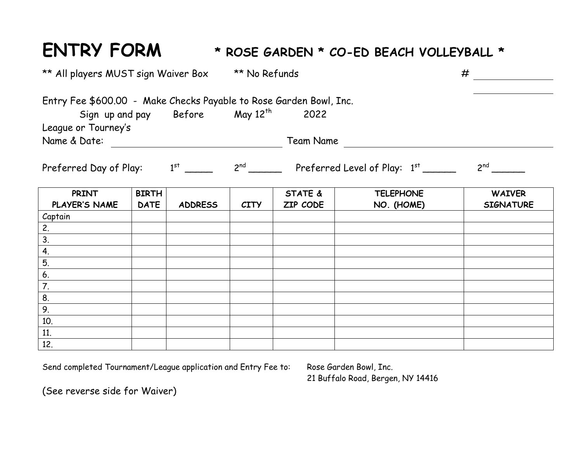## **ENTRY FORM \* ROSE GARDEN \* CO-ED BEACH VOLLEYBALL \***

| ** All players MUST sign Waiver Box                                |              | <b>** No Refunds</b> |             |                                                   | #                |                  |
|--------------------------------------------------------------------|--------------|----------------------|-------------|---------------------------------------------------|------------------|------------------|
| Entry Fee \$600.00 - Make Checks Payable to Rose Garden Bowl, Inc. |              |                      |             |                                                   |                  |                  |
| Sign up and pay Before May 12 <sup>th</sup>                        |              |                      |             | 2022                                              |                  |                  |
| League or Tourney's                                                |              |                      |             |                                                   |                  |                  |
| Name & Date:<br>Team Name                                          |              |                      |             |                                                   |                  |                  |
| Preferred Day of Play: $1^{st}$ _____                              |              |                      |             | $2^{nd}$ Preferred Level of Play: $1^{st}$ ______ |                  | $2^{nd}$         |
| PRINT                                                              | <b>BIRTH</b> |                      |             | <b>STATE &amp;</b>                                | <b>TELEPHONE</b> | <b>WAIVER</b>    |
| PLAYER'S NAME                                                      | <b>DATE</b>  | <b>ADDRESS</b>       | <b>CITY</b> | ZIP CODE                                          | NO. (HOME)       | <b>SIGNATURE</b> |
| Captain                                                            |              |                      |             |                                                   |                  |                  |
|                                                                    |              |                      |             |                                                   |                  |                  |
| $\frac{2.}{3.}$<br>$\frac{4.}{5.}$                                 |              |                      |             |                                                   |                  |                  |
|                                                                    |              |                      |             |                                                   |                  |                  |
|                                                                    |              |                      |             |                                                   |                  |                  |
|                                                                    |              |                      |             |                                                   |                  |                  |
|                                                                    |              |                      |             |                                                   |                  |                  |
| $rac{6.7}{7.8.}$<br>9.                                             |              |                      |             |                                                   |                  |                  |
|                                                                    |              |                      |             |                                                   |                  |                  |
| 10.                                                                |              |                      |             |                                                   |                  |                  |
| 11.                                                                |              |                      |             |                                                   |                  |                  |
| 12.                                                                |              |                      |             |                                                   |                  |                  |

Send completed Tournament/League application and Entry Fee to: Rose Garden Bowl, Inc.

21 Buffalo Road, Bergen, NY 14416

(See reverse side for Waiver)